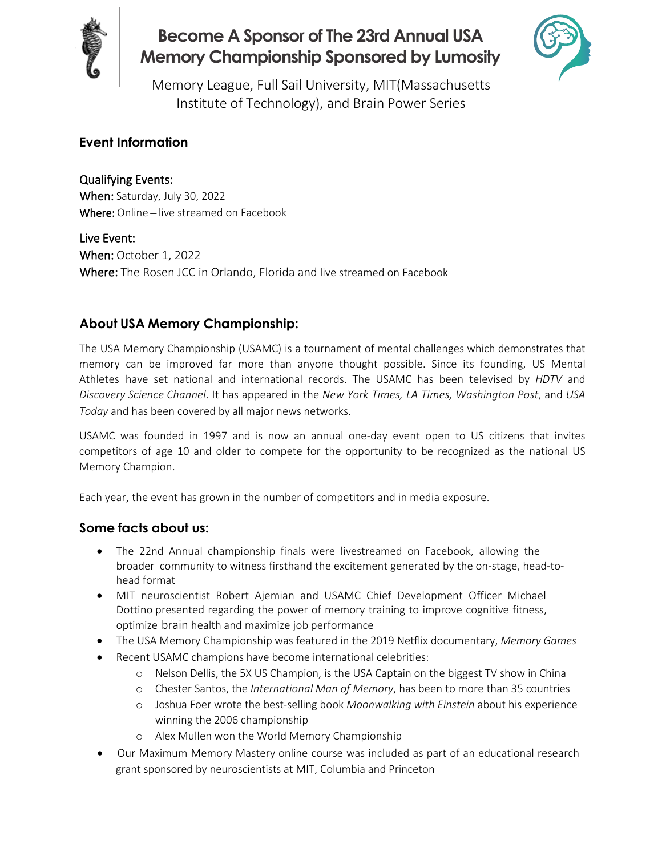

# **Become A Sponsor of The 23rd Annual USA Memory Championship Sponsored by Lumosity**



Memory League, Full Sail University, MIT(Massachusetts Institute of Technology), and Brain Power Series

#### **Event Information**

Qualifying Events: When: Saturday, July 30, 2022 Where: Online – live streamed on Facebook

Live Event: When: October 1, 2022 Where: The Rosen JCC in Orlando, Florida and live streamed on Facebook

#### **About USA Memory Championship:**

The USA Memory Championship (USAMC) is a tournament of mental challenges which demonstrates that memory can be improved far more than anyone thought possible. Since its founding, US Mental Athletes have set national and international records. The USAMC has been televised by *HDTV* and *Discovery Science Channel*. It has appeared in the *New York Times, LA Times, Washington Post*, and *USA Today* and has been covered by all major news networks.

USAMC was founded in 1997 and is now an annual one-day event open to US citizens that invites competitors of age 10 and older to compete for the opportunity to be recognized as the national US Memory Champion.

Each year, the event has grown in the number of competitors and in media exposure.

#### **Some facts about us:**

- The 22nd Annual championship finals were livestreamed on Facebook, allowing the broader community to witness firsthand the excitement generated by the on-stage, head-tohead format
- MIT neuroscientist Robert Ajemian and USAMC Chief Development Officer Michael Dottino presented regarding the power of memory training to improve cognitive fitness, optimize brain health and maximize job performance
- The USA Memory Championship was featured in the 2019 Netflix documentary, *Memory Games*
- Recent USAMC champions have become international celebrities:
	- o Nelson Dellis, the 5X US Champion, is the USA Captain on the biggest TV show in China
	- o Chester Santos, the *International Man of Memory*, has been to more than 35 countries
	- o Joshua Foer wrote the best-selling book *Moonwalking with Einstein* about his experience winning the 2006 championship
	- o Alex Mullen won the World Memory Championship
- Our Maximum Memory Mastery online course was included as part of an educational research grant sponsored by neuroscientists at MIT, Columbia and Princeton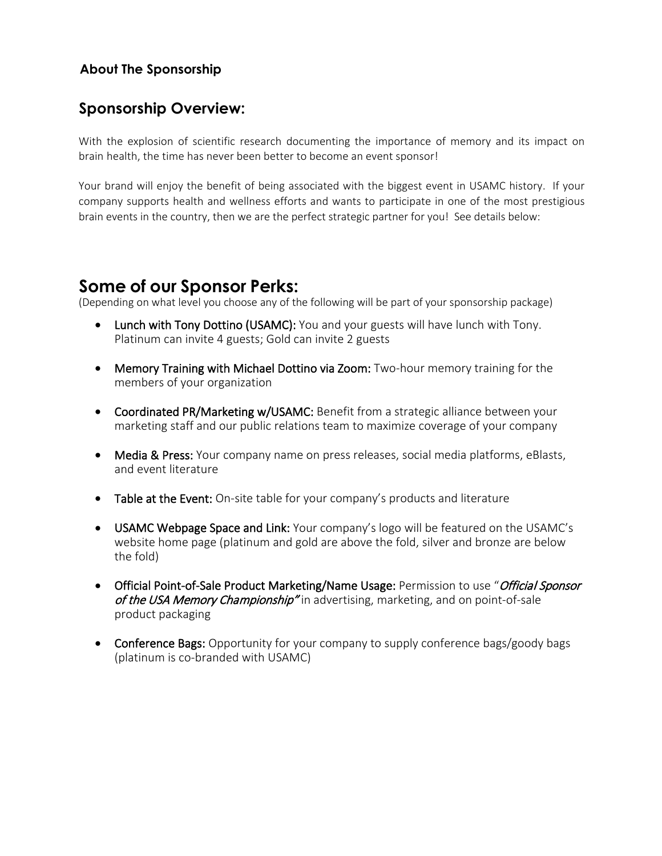#### **About The Sponsorship**

### **Sponsorship Overview:**

With the explosion of scientific research documenting the importance of memory and its impact on brain health, the time has never been better to become an event sponsor!

Your brand will enjoy the benefit of being associated with the biggest event in USAMC history. If your company supports health and wellness efforts and wants to participate in one of the most prestigious brain events in the country, then we are the perfect strategic partner for you! See details below:

# **Some of our Sponsor Perks:**

(Depending on what level you choose any of the following will be part of your sponsorship package)

- Lunch with Tony Dottino (USAMC): You and your guests will have lunch with Tony. Platinum can invite 4 guests; Gold can invite 2 guests
- Memory Training with Michael Dottino via Zoom: Two-hour memory training for the members of your organization
- Coordinated PR/Marketing w/USAMC: Benefit from a strategic alliance between your marketing staff and our public relations team to maximize coverage of your company
- Media & Press: Your company name on press releases, social media platforms, eBlasts, and event literature
- Table at the Event: On-site table for your company's products and literature
- USAMC Webpage Space and Link: Your company's logo will be featured on the USAMC's website home page (platinum and gold are above the fold, silver and bronze are below the fold)
- Official Point-of-Sale Product Marketing/Name Usage: Permission to use "Official Sponsor of the USA Memory Championship" in advertising, marketing, and on point-of-sale product packaging
- Conference Bags: Opportunity for your company to supply conference bags/goody bags (platinum is co-branded with USAMC)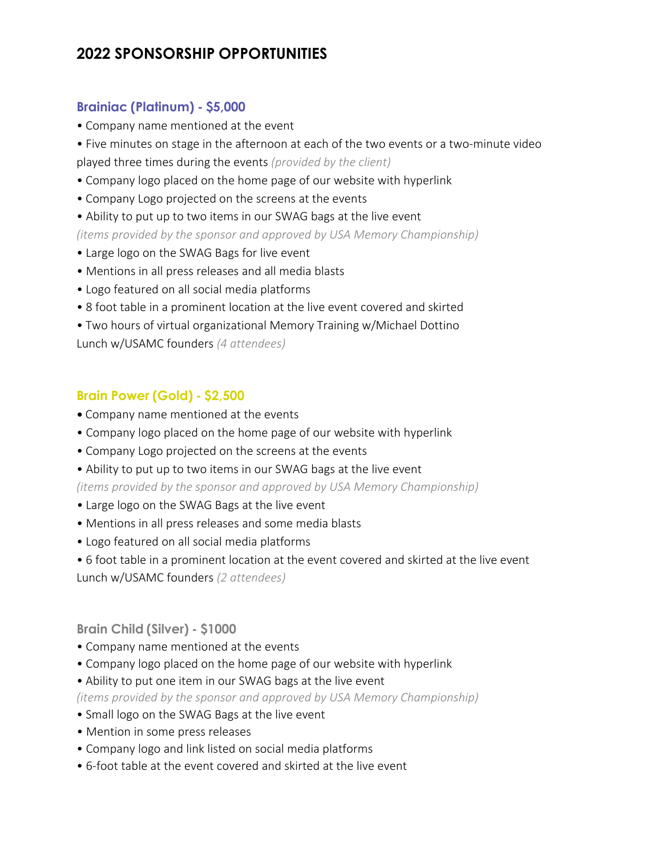# **2022 SPONSORSHIP OPPORTUNITIES**

#### **Brainiac (Platinum) - \$5,000**

- Company name mentioned at the event
- Five minutes on stage in the afternoon at each of the two events or a two-minute video played three times during the events *(provided by the client)*
- Company logo placed on the home page of our website with hyperlink
- Company Logo projected on the screens at the events
- Ability to put up to two items in our SWAG bags at the live event

*(items provided by the sponsor and approved by USA Memory Championship)*

- Large logo on the SWAG Bags for live event
- Mentions in all press releases and all media blasts
- Logo featured on all social media platforms
- 8 foot table in a prominent location at the live event covered and skirted
- Two hours of virtual organizational Memory Training w/Michael Dottino

Lunch w/USAMC founders *(4 attendees)* 

#### **Brain Power (Gold) - \$2,500**

- Company name mentioned at the events
- Company logo placed on the home page of our website with hyperlink
- Company Logo projected on the screens at the events
- Ability to put up to two items in our SWAG bags at the live event

*(items provided by the sponsor and approved by USA Memory Championship)* 

- Large logo on the SWAG Bags at the live event
- Mentions in all press releases and some media blasts
- Logo featured on all social media platforms
- 6 foot table in a prominent location at the event covered and skirted at the live event

Lunch w/USAMC founders *(2 attendees)*

#### **Brain Child (Silver) - \$1000**

- Company name mentioned at the events
- Company logo placed on the home page of our website with hyperlink
- Ability to put one item in our SWAG bags at the live event

*(items provided by the sponsor and approved by USA Memory Championship)*

- Small logo on the SWAG Bags at the live event
- Mention in some press releases
- Company logo and link listed on social media platforms
- 6-foot table at the event covered and skirted at the live event